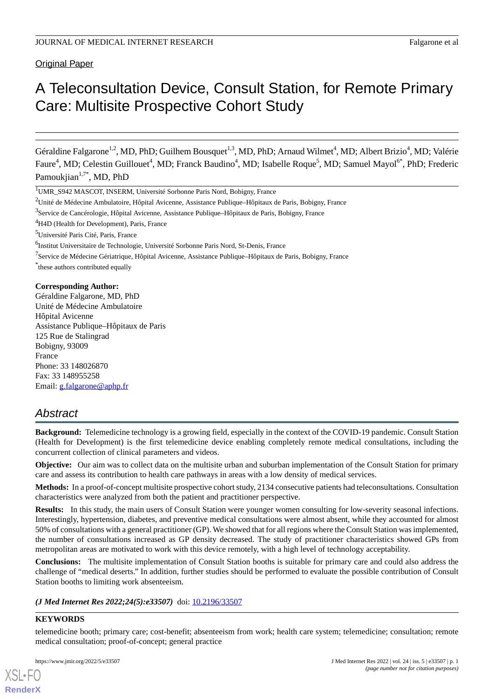Original Paper

# A Teleconsultation Device, Consult Station, for Remote Primary Care: Multisite Prospective Cohort Study

Géraldine Falgarone<sup>1,2</sup>, MD, PhD; Guilhem Bousquet<sup>1,3</sup>, MD, PhD; Arnaud Wilmet<sup>4</sup>, MD; Albert Brizio<sup>4</sup>, MD; Valérie Faure<sup>4</sup>, MD; Celestin Guillouet<sup>4</sup>, MD; Franck Baudino<sup>4</sup>, MD; Isabelle Roque<sup>5</sup>, MD; Samuel Mayol<sup>6\*</sup>, PhD; Frederic Pamoukjian<sup>1,7\*</sup>, MD, PhD

<sup>1</sup>UMR\_S942 MASCOT, INSERM, Université Sorbonne Paris Nord, Bobigny, France

<sup>3</sup>Service de Cancérologie, Hôpital Avicenne, Assistance Publique–Hôpitaux de Paris, Bobigny, France

<sup>4</sup>H4D (Health for Development), Paris, France

<sup>5</sup>Université Paris Cité, Paris, France

<sup>6</sup>Institut Universitaire de Technologie, Université Sorbonne Paris Nord, St-Denis, France

<sup>7</sup>Service de Médecine Gériatrique, Hôpital Avicenne, Assistance Publique–Hôpitaux de Paris, Bobigny, France

\* these authors contributed equally

#### **Corresponding Author:**

Géraldine Falgarone, MD, PhD Unité de Médecine Ambulatoire Hôpital Avicenne Assistance Publique–Hôpitaux de Paris 125 Rue de Stalingrad Bobigny, 93009 France Phone: 33 148026870 Fax: 33 148955258 Email: [g.falgarone@aphp.fr](mailto:g.falgarone@aphp.fr)

# *Abstract*

**Background:** Telemedicine technology is a growing field, especially in the context of the COVID-19 pandemic. Consult Station (Health for Development) is the first telemedicine device enabling completely remote medical consultations, including the concurrent collection of clinical parameters and videos.

**Objective:** Our aim was to collect data on the multisite urban and suburban implementation of the Consult Station for primary care and assess its contribution to health care pathways in areas with a low density of medical services.

**Methods:** In a proof-of-concept multisite prospective cohort study, 2134 consecutive patients had teleconsultations. Consultation characteristics were analyzed from both the patient and practitioner perspective.

**Results:** In this study, the main users of Consult Station were younger women consulting for low-severity seasonal infections. Interestingly, hypertension, diabetes, and preventive medical consultations were almost absent, while they accounted for almost 50% of consultations with a general practitioner (GP). We showed that for all regions where the Consult Station was implemented, the number of consultations increased as GP density decreased. The study of practitioner characteristics showed GPs from metropolitan areas are motivated to work with this device remotely, with a high level of technology acceptability.

**Conclusions:** The multisite implementation of Consult Station booths is suitable for primary care and could also address the challenge of "medical deserts." In addition, further studies should be performed to evaluate the possible contribution of Consult Station booths to limiting work absenteeism.

*(J Med Internet Res 2022;24(5):e33507)* doi:  $10.2196/33507$ 

#### **KEYWORDS**

[XSL](http://www.w3.org/Style/XSL)•FO **[RenderX](http://www.renderx.com/)**

telemedicine booth; primary care; cost-benefit; absenteeism from work; health care system; telemedicine; consultation; remote medical consultation; proof-of-concept; general practice

<sup>&</sup>lt;sup>2</sup>Unité de Médecine Ambulatoire, Hôpital Avicenne, Assistance Publique–Hôpitaux de Paris, Bobigny, France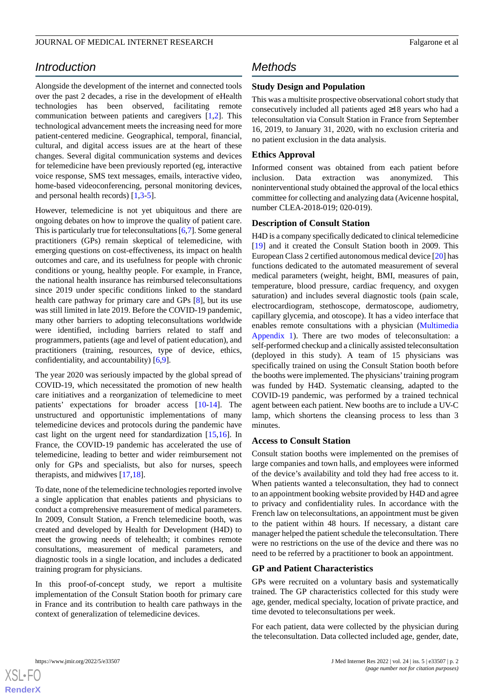# *Introduction*

Alongside the development of the internet and connected tools over the past 2 decades, a rise in the development of eHealth technologies has been observed, facilitating remote communication between patients and caregivers [[1](#page-8-0)[,2](#page-8-1)]. This technological advancement meets the increasing need for more patient-centered medicine. Geographical, temporal, financial, cultural, and digital access issues are at the heart of these changes. Several digital communication systems and devices for telemedicine have been previously reported (eg, interactive voice response, SMS text messages, emails, interactive video, home-based videoconferencing, personal monitoring devices, and personal health records) [\[1](#page-8-0),[3](#page-8-2)[-5](#page-8-3)].

However, telemedicine is not yet ubiquitous and there are ongoing debates on how to improve the quality of patient care. This is particularly true for teleconsultations [[6,](#page-8-4)[7\]](#page-8-5). Some general practitioners (GPs) remain skeptical of telemedicine, with emerging questions on cost-effectiveness, its impact on health outcomes and care, and its usefulness for people with chronic conditions or young, healthy people. For example, in France, the national health insurance has reimbursed teleconsultations since 2019 under specific conditions linked to the standard health care pathway for primary care and GPs [\[8](#page-8-6)], but its use was still limited in late 2019. Before the COVID-19 pandemic, many other barriers to adopting teleconsultations worldwide were identified, including barriers related to staff and programmers, patients (age and level of patient education), and practitioners (training, resources, type of device, ethics, confidentiality, and accountability) [[6](#page-8-4)[,9](#page-8-7)].

The year 2020 was seriously impacted by the global spread of COVID-19, which necessitated the promotion of new health care initiatives and a reorganization of telemedicine to meet patients' expectations for broader access [[10-](#page-8-8)[14\]](#page-8-9). The unstructured and opportunistic implementations of many telemedicine devices and protocols during the pandemic have cast light on the urgent need for standardization [[15,](#page-8-10)[16\]](#page-8-11). In France, the COVID-19 pandemic has accelerated the use of telemedicine, leading to better and wider reimbursement not only for GPs and specialists, but also for nurses, speech therapists, and midwives [\[17](#page-8-12),[18\]](#page-8-13).

To date, none of the telemedicine technologies reported involve a single application that enables patients and physicians to conduct a comprehensive measurement of medical parameters. In 2009, Consult Station, a French telemedicine booth, was created and developed by Health for Development (H4D) to meet the growing needs of telehealth; it combines remote consultations, measurement of medical parameters, and diagnostic tools in a single location, and includes a dedicated training program for physicians.

In this proof-of-concept study, we report a multisite implementation of the Consult Station booth for primary care in France and its contribution to health care pathways in the context of generalization of telemedicine devices.

# *Methods*

### **Study Design and Population**

This was a multisite prospective observational cohort study that consecutively included all patients aged ≥18 years who had a teleconsultation via Consult Station in France from September 16, 2019, to January 31, 2020, with no exclusion criteria and no patient exclusion in the data analysis.

#### **Ethics Approval**

Informed consent was obtained from each patient before inclusion. Data extraction was anonymized. This noninterventional study obtained the approval of the local ethics committee for collecting and analyzing data (Avicenne hospital, number CLEA-2018-019; 020-019).

#### **Description of Consult Station**

H4D is a company specifically dedicated to clinical telemedicine [[19\]](#page-8-14) and it created the Consult Station booth in 2009. This European Class 2 certified autonomous medical device [\[20](#page-8-15)] has functions dedicated to the automated measurement of several medical parameters (weight, height, BMI, measures of pain, temperature, blood pressure, cardiac frequency, and oxygen saturation) and includes several diagnostic tools (pain scale, electrocardiogram, stethoscope, dermatoscope, audiometry, capillary glycemia, and otoscope). It has a video interface that enables remote consultations with a physician [\(Multimedia](#page-7-0) [Appendix 1\)](#page-7-0). There are two modes of teleconsultation: a self-performed checkup and a clinically assisted teleconsultation (deployed in this study). A team of 15 physicians was specifically trained on using the Consult Station booth before the booths were implemented. The physicians' training program was funded by H4D. Systematic cleansing, adapted to the COVID-19 pandemic, was performed by a trained technical agent between each patient. New booths are to include a UV-C lamp, which shortens the cleansing process to less than 3 minutes.

## **Access to Consult Station**

Consult station booths were implemented on the premises of large companies and town halls, and employees were informed of the device's availability and told they had free access to it. When patients wanted a teleconsultation, they had to connect to an appointment booking website provided by H4D and agree to privacy and confidentiality rules. In accordance with the French law on teleconsultations, an appointment must be given to the patient within 48 hours. If necessary, a distant care manager helped the patient schedule the teleconsultation. There were no restrictions on the use of the device and there was no need to be referred by a practitioner to book an appointment.

#### **GP and Patient Characteristics**

GPs were recruited on a voluntary basis and systematically trained. The GP characteristics collected for this study were age, gender, medical specialty, location of private practice, and time devoted to teleconsultations per week.

For each patient, data were collected by the physician during the teleconsultation. Data collected included age, gender, date,

```
XS-FO
RenderX
```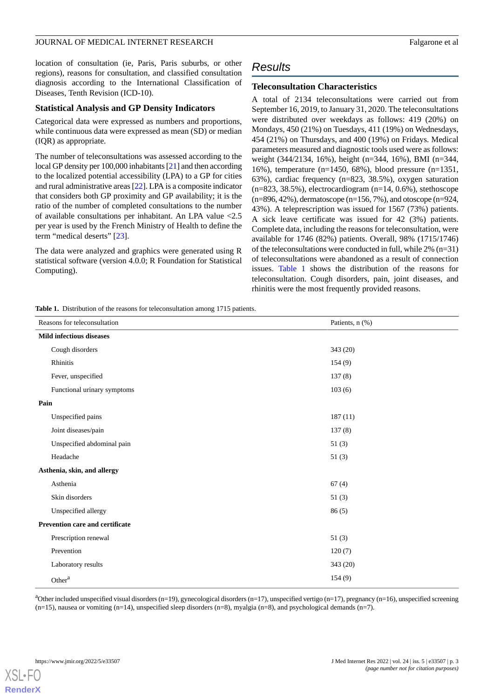location of consultation (ie, Paris, Paris suburbs, or other regions), reasons for consultation, and classified consultation diagnosis according to the International Classification of Diseases, Tenth Revision (ICD-10).

#### **Statistical Analysis and GP Density Indicators**

Categorical data were expressed as numbers and proportions, while continuous data were expressed as mean (SD) or median (IQR) as appropriate.

The number of teleconsultations was assessed according to the local GP density per 100,000 inhabitants [[21](#page-8-16)] and then according to the localized potential accessibility (LPA) to a GP for cities and rural administrative areas [\[22](#page-8-17)]. LPA is a composite indicator that considers both GP proximity and GP availability; it is the ratio of the number of completed consultations to the number of available consultations per inhabitant. An LPA value <2.5 per year is used by the French Ministry of Health to define the term "medical deserts" [[23\]](#page-9-0).

<span id="page-2-0"></span>The data were analyzed and graphics were generated using R statistical software (version 4.0.0; R Foundation for Statistical Computing).

# *Results*

#### **Teleconsultation Characteristics**

A total of 2134 teleconsultations were carried out from September 16, 2019, to January 31, 2020. The teleconsultations were distributed over weekdays as follows: 419 (20%) on Mondays, 450 (21%) on Tuesdays, 411 (19%) on Wednesdays, 454 (21%) on Thursdays, and 400 (19%) on Fridays. Medical parameters measured and diagnostic tools used were as follows: weight (344/2134, 16%), height (n=344, 16%), BMI (n=344, 16%), temperature (n=1450, 68%), blood pressure (n=1351, 63%), cardiac frequency (n=823, 38.5%), oxygen saturation  $(n=823, 38.5%)$ , electrocardiogram  $(n=14, 0.6%)$ , stethoscope  $(n=896, 42\%)$ , dermatoscope  $(n=156, 7\%)$ , and otoscope  $(n=924, 1\%)$ 43%). A teleprescription was issued for 1567 (73%) patients. A sick leave certificate was issued for 42 (3%) patients. Complete data, including the reasons for teleconsultation, were available for 1746 (82%) patients. Overall, 98% (1715/1746) of the teleconsultations were conducted in full, while 2% (n=31) of teleconsultations were abandoned as a result of connection issues. [Table 1](#page-2-0) shows the distribution of the reasons for teleconsultation. Cough disorders, pain, joint diseases, and rhinitis were the most frequently provided reasons.

**Table 1.** Distribution of the reasons for teleconsultation among 1715 patients.

| Reasons for teleconsultation           | Patients, n (%) |
|----------------------------------------|-----------------|
| <b>Mild infectious diseases</b>        |                 |
| Cough disorders                        | 343 (20)        |
| Rhinitis                               | 154(9)          |
| Fever, unspecified                     | 137(8)          |
| Functional urinary symptoms            | 103(6)          |
| Pain                                   |                 |
| Unspecified pains                      | 187(11)         |
| Joint diseases/pain                    | 137(8)          |
| Unspecified abdominal pain             | 51(3)           |
| Headache                               | 51(3)           |
| Asthenia, skin, and allergy            |                 |
| Asthenia                               | 67(4)           |
| Skin disorders                         | 51(3)           |
| Unspecified allergy                    | 86(5)           |
| <b>Prevention care and certificate</b> |                 |
| Prescription renewal                   | 51(3)           |
| Prevention                             | 120(7)          |
| Laboratory results                     | 343 (20)        |
| Other <sup>a</sup>                     | 154(9)          |

<sup>a</sup>Other included unspecified visual disorders (n=19), gynecological disorders (n=17), unspecified vertigo (n=17), pregnancy (n=16), unspecified screening  $(n=15)$ , nausea or vomiting  $(n=14)$ , unspecified sleep disorders  $(n=8)$ , myalgia  $(n=8)$ , and psychological demands  $(n=7)$ .

[XSL](http://www.w3.org/Style/XSL)•FO **[RenderX](http://www.renderx.com/)**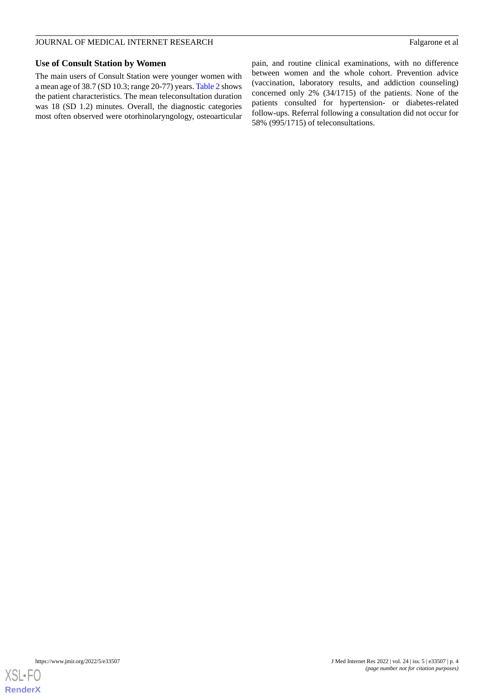#### JOURNAL OF MEDICAL INTERNET RESEARCH Falgarone et al

#### **Use of Consult Station by Women**

The main users of Consult Station were younger women with a mean age of 38.7 (SD 10.3; range 20-77) years. [Table 2](#page-4-0) shows the patient characteristics. The mean teleconsultation duration was 18 (SD 1.2) minutes. Overall, the diagnostic categories most often observed were otorhinolaryngology, osteoarticular pain, and routine clinical examinations, with no difference between women and the whole cohort. Prevention advice (vaccination, laboratory results, and addiction counseling) concerned only 2% (34/1715) of the patients. None of the patients consulted for hypertension- or diabetes-related follow-ups. Referral following a consultation did not occur for 58% (995/1715) of teleconsultations.

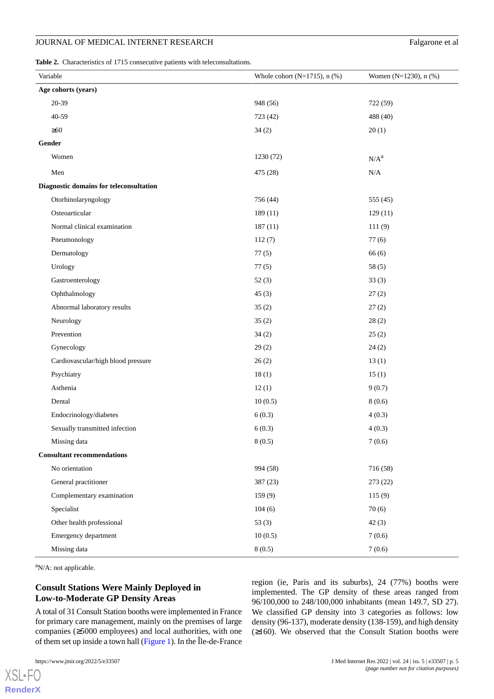#### JOURNAL OF MEDICAL INTERNET RESEARCH Falgarone et al

<span id="page-4-0"></span>**Table 2.** Characteristics of 1715 consecutive patients with teleconsultations.

|                     | Variable                                | Whole cohort ( $N=1715$ ), n (%) | Women (N=1230), n (%) |  |  |  |
|---------------------|-----------------------------------------|----------------------------------|-----------------------|--|--|--|
| Age cohorts (years) |                                         |                                  |                       |  |  |  |
|                     | 20-39                                   | 948 (56)                         | 722 (59)              |  |  |  |
|                     | 40-59                                   | 723 (42)                         | 488 (40)              |  |  |  |
|                     | $\geq 60$                               | 34(2)                            | 20(1)                 |  |  |  |
|                     | Gender                                  |                                  |                       |  |  |  |
|                     | Women                                   | 1230 (72)                        | $N/A^a$               |  |  |  |
|                     | Men                                     | 475 (28)                         | N/A                   |  |  |  |
|                     | Diagnostic domains for teleconsultation |                                  |                       |  |  |  |
|                     | Otorhinolaryngology                     | 756 (44)                         | 555 (45)              |  |  |  |
|                     | Osteoarticular                          | 189 (11)                         | 129(11)               |  |  |  |
|                     | Normal clinical examination             | 187(11)                          | 111(9)                |  |  |  |
|                     | Pneumonology                            | 112(7)                           | 77(6)                 |  |  |  |
|                     | Dermatology                             | 77(5)                            | 66(6)                 |  |  |  |
|                     | Urology                                 | 77(5)                            | 58(5)                 |  |  |  |
|                     | Gastroenterology                        | 52(3)                            | 33(3)                 |  |  |  |
|                     | Ophthalmology                           | 45(3)                            | 27(2)                 |  |  |  |
|                     | Abnormal laboratory results             | 35(2)                            | 27(2)                 |  |  |  |
|                     | Neurology                               | 35(2)                            | 28(2)                 |  |  |  |
|                     | Prevention                              | 34(2)                            | 25(2)                 |  |  |  |
|                     | Gynecology                              | 29(2)                            | 24(2)                 |  |  |  |
|                     | Cardiovascular/high blood pressure      | 26(2)                            | 13(1)                 |  |  |  |
|                     | Psychiatry                              | 18(1)                            | 15(1)                 |  |  |  |
|                     | Asthenia                                | 12(1)                            | 9(0.7)                |  |  |  |
|                     | Dental                                  | 10(0.5)                          | 8(0.6)                |  |  |  |
|                     | Endocrinology/diabetes                  | 6(0.3)                           | 4(0.3)                |  |  |  |
|                     | Sexually transmitted infection          | 6(0.3)                           | 4(0.3)                |  |  |  |
|                     | Missing data                            | 8(0.5)                           | 7(0.6)                |  |  |  |
|                     | <b>Consultant recommendations</b>       |                                  |                       |  |  |  |
|                     | No orientation                          | 994 (58)                         | 716 (58)              |  |  |  |
|                     | General practitioner                    | 387 (23)                         | 273(22)               |  |  |  |
|                     | Complementary examination               | 159(9)                           | 115(9)                |  |  |  |
|                     | Specialist                              | 104(6)                           | 70(6)                 |  |  |  |
|                     | Other health professional               | 53 $(3)$                         | 42(3)                 |  |  |  |
|                     | Emergency department                    | 10(0.5)                          | 7(0.6)                |  |  |  |
|                     | Missing data                            | 8(0.5)                           | 7(0.6)                |  |  |  |

 $\mathrm{a}_{N/A}$ : not applicable.

## **Consult Stations Were Mainly Deployed in Low-to-Moderate GP Density Areas**

A total of 31 Consult Station booths were implemented in France for primary care management, mainly on the premises of large companies (≥5000 employees) and local authorities, with one of them set up inside a town hall [\(Figure 1](#page-5-0)). In the Île-de-France

[XSL](http://www.w3.org/Style/XSL)•FO **[RenderX](http://www.renderx.com/)** region (ie, Paris and its suburbs), 24 (77%) booths were implemented. The GP density of these areas ranged from 96/100,000 to 248/100,000 inhabitants (mean 149.7, SD 27). We classified GP density into 3 categories as follows: low density (96-137), moderate density (138-159), and high density (≥160). We observed that the Consult Station booths were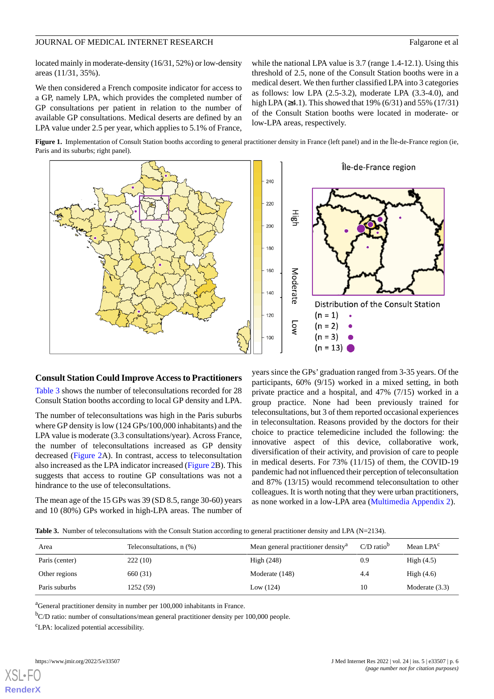#### JOURNAL OF MEDICAL INTERNET RESEARCH Falgarone et al.

located mainly in moderate-density (16/31, 52%) or low-density areas (11/31, 35%).

We then considered a French composite indicator for access to a GP, namely LPA, which provides the completed number of GP consultations per patient in relation to the number of available GP consultations. Medical deserts are defined by an LPA value under 2.5 per year, which applies to 5.1% of France,

while the national LPA value is 3.7 (range 1.4-12.1). Using this threshold of 2.5, none of the Consult Station booths were in a medical desert. We then further classified LPA into 3 categories as follows: low LPA (2.5-3.2), moderate LPA (3.3-4.0), and high LPA (≥4.1). This showed that 19% (6/31) and 55% (17/31) of the Consult Station booths were located in moderate- or low-LPA areas, respectively.

<span id="page-5-0"></span>**Figure 1.** Implementation of Consult Station booths according to general practitioner density in France (left panel) and in the Île-de-France region (ie, Paris and its suburbs; right panel).



#### **Consult Station Could Improve Access to Practitioners**

[Table 3](#page-5-1) shows the number of teleconsultations recorded for 28 Consult Station booths according to local GP density and LPA.

The number of teleconsultations was high in the Paris suburbs where GP density is low (124 GPs/100,000 inhabitants) and the LPA value is moderate (3.3 consultations/year). Across France, the number of teleconsultations increased as GP density decreased ([Figure 2A](#page-6-0)). In contrast, access to teleconsultation also increased as the LPA indicator increased [\(Figure 2](#page-6-0)B). This suggests that access to routine GP consultations was not a hindrance to the use of teleconsultations.

<span id="page-5-1"></span>The mean age of the 15 GPs was 39 (SD 8.5, range 30-60) years and 10 (80%) GPs worked in high-LPA areas. The number of years since the GPs' graduation ranged from 3-35 years. Of the participants, 60% (9/15) worked in a mixed setting, in both private practice and a hospital, and 47% (7/15) worked in a group practice. None had been previously trained for teleconsultations, but 3 of them reported occasional experiences in teleconsultation. Reasons provided by the doctors for their choice to practice telemedicine included the following: the innovative aspect of this device, collaborative work, diversification of their activity, and provision of care to people in medical deserts. For 73% (11/15) of them, the COVID-19 pandemic had not influenced their perception of teleconsultation and 87% (13/15) would recommend teleconsultation to other colleagues. It is worth noting that they were urban practitioners, as none worked in a low-LPA area ([Multimedia Appendix 2](#page-8-18)).

| Table 3. Number of teleconsultations with the Consult Station according to general practitioner density and LPA ( $N=2134$ ). |  |
|-------------------------------------------------------------------------------------------------------------------------------|--|
|-------------------------------------------------------------------------------------------------------------------------------|--|

| Area           | Teleconsultations, n (%) | Mean general practitioner density <sup>a</sup> | $C/D$ ratio <sup>b</sup> | Mean LPA <sup>c</sup> |
|----------------|--------------------------|------------------------------------------------|--------------------------|-----------------------|
| Paris (center) | 222(10)                  | High $(248)$                                   | 0.9                      | High $(4.5)$          |
| Other regions  | 660 (31)                 | Moderate (148)                                 | 4.4                      | High $(4.6)$          |
| Paris suburbs  | 1252 (59)                | Low $(124)$                                    | 10                       | Moderate $(3.3)$      |

<sup>a</sup>General practitioner density in number per 100,000 inhabitants in France.

<sup>b</sup>C/D ratio: number of consultations/mean general practitioner density per 100,000 people.

<sup>c</sup>LPA: localized potential accessibility.

**[RenderX](http://www.renderx.com/)**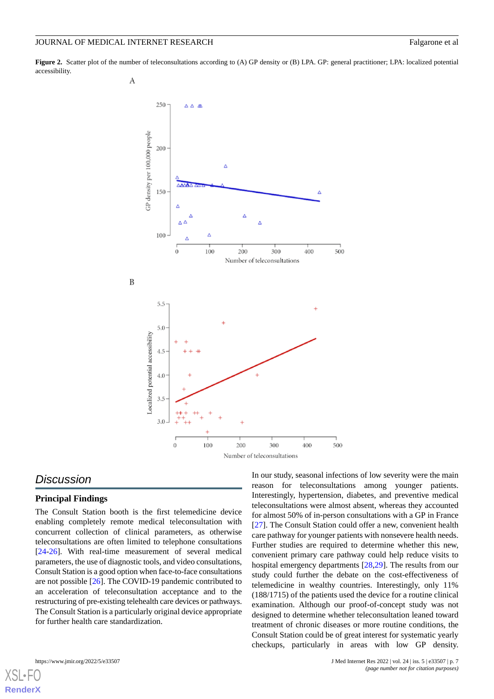<span id="page-6-0"></span>**Figure 2.** Scatter plot of the number of teleconsultations according to (A) GP density or (B) LPA. GP: general practitioner; LPA: localized potential accessibility.



# *Discussion*

#### **Principal Findings**

The Consult Station booth is the first telemedicine device enabling completely remote medical teleconsultation with concurrent collection of clinical parameters, as otherwise teleconsultations are often limited to telephone consultations [[24](#page-9-1)[-26](#page-9-2)]. With real-time measurement of several medical parameters, the use of diagnostic tools, and video consultations, Consult Station is a good option when face-to-face consultations are not possible [\[26](#page-9-2)]. The COVID-19 pandemic contributed to an acceleration of teleconsultation acceptance and to the restructuring of pre-existing telehealth care devices or pathways. The Consult Station is a particularly original device appropriate for further health care standardization.

In our study, seasonal infections of low severity were the main reason for teleconsultations among younger patients. Interestingly, hypertension, diabetes, and preventive medical teleconsultations were almost absent, whereas they accounted for almost 50% of in-person consultations with a GP in France [[27\]](#page-9-3). The Consult Station could offer a new, convenient health care pathway for younger patients with nonsevere health needs. Further studies are required to determine whether this new, convenient primary care pathway could help reduce visits to hospital emergency departments [\[28](#page-9-4),[29\]](#page-9-5). The results from our study could further the debate on the cost-effectiveness of telemedicine in wealthy countries. Interestingly, only 11% (188/1715) of the patients used the device for a routine clinical examination. Although our proof-of-concept study was not designed to determine whether teleconsultation leaned toward treatment of chronic diseases or more routine conditions, the Consult Station could be of great interest for systematic yearly checkups, particularly in areas with low GP density.

[XSL](http://www.w3.org/Style/XSL)•FO **[RenderX](http://www.renderx.com/)**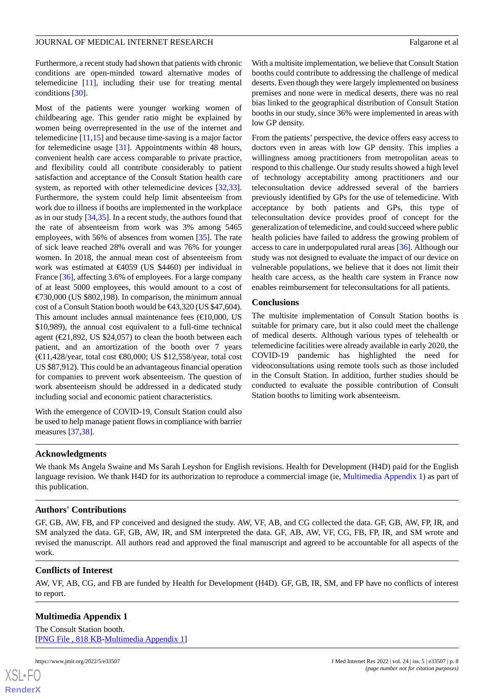Furthermore, a recent study had shown that patients with chronic conditions are open-minded toward alternative modes of telemedicine [[11\]](#page-8-19), including their use for treating mental conditions [\[30](#page-9-6)].

Most of the patients were younger working women of childbearing age. This gender ratio might be explained by women being overrepresented in the use of the internet and telemedicine [\[11](#page-8-19),[15\]](#page-8-10) and because time-saving is a major factor for telemedicine usage [\[31](#page-9-7)]. Appointments within 48 hours, convenient health care access comparable to private practice, and flexibility could all contribute considerably to patient satisfaction and acceptance of the Consult Station health care system, as reported with other telemedicine devices [\[32](#page-9-8),[33\]](#page-9-9). Furthermore, the system could help limit absenteeism from work due to illness if booths are implemented in the workplace as in our study [[34,](#page-9-10)[35](#page-9-11)]. In a recent study, the authors found that the rate of absenteeism from work was 3% among 5465 employees, with 56% of absences from women [[35\]](#page-9-11). The rate of sick leave reached 28% overall and was 76% for younger women. In 2018, the annual mean cost of absenteeism from work was estimated at €4059 (US \$4460) per individual in France [\[36](#page-9-12)], affecting 3.6% of employees. For a large company of at least 5000 employees, this would amount to a cost of  $\epsilon$ 730,000 (US \$802,198). In comparison, the minimum annual cost of a Consult Station booth would be €43,320 (US \$47,604). This amount includes annual maintenance fees  $(\text{E}10,000, \text{US})$ \$10,989), the annual cost equivalent to a full-time technical agent ( $\epsilon$ 21,892, US \$24,057) to clean the booth between each patient, and an amortization of the booth over 7 years (€11,428/year, total cost €80,000; US \$12,558/year, total cost US \$87,912). This could be an advantageous financial operation for companies to prevent work absenteeism. The question of work absenteeism should be addressed in a dedicated study including social and economic patient characteristics.

With the emergence of COVID-19, Consult Station could also be used to help manage patient flows in compliance with barrier measures [[37,](#page-9-13)[38](#page-9-14)].

With a multisite implementation, we believe that Consult Station booths could contribute to addressing the challenge of medical deserts. Even though they were largely implemented on business premises and none were in medical deserts, there was no real bias linked to the geographical distribution of Consult Station booths in our study, since 36% were implemented in areas with low GP density.

From the patients' perspective, the device offers easy access to doctors even in areas with low GP density. This implies a willingness among practitioners from metropolitan areas to respond to this challenge. Our study results showed a high level of technology acceptability among practitioners and our teleconsultation device addressed several of the barriers previously identified by GPs for the use of telemedicine. With acceptance by both patients and GPs, this type of teleconsultation device provides proof of concept for the generalization of telemedicine, and could succeed where public health policies have failed to address the growing problem of access to care in underpopulated rural areas [[36\]](#page-9-12). Although our study was not designed to evaluate the impact of our device on vulnerable populations, we believe that it does not limit their health care access, as the health care system in France now enables reimbursement for teleconsultations for all patients.

#### **Conclusions**

The multisite implementation of Consult Station booths is suitable for primary care, but it also could meet the challenge of medical deserts. Although various types of telehealth or telemedicine facilities were already available in early 2020, the COVID-19 pandemic has highlighted the need for videoconsultations using remote tools such as those included in the Consult Station. In addition, further studies should be conducted to evaluate the possible contribution of Consult Station booths to limiting work absenteeism.

#### **Acknowledgments**

We thank Ms Angela Swaine and Ms Sarah Leyshon for English revisions. Health for Development (H4D) paid for the English language revision. We thank H4D for its authorization to reproduce a commercial image (ie, [Multimedia Appendix 1\)](#page-7-0) as part of this publication.

#### **Authors' Contributions**

GF, GB, AW, FB, and FP conceived and designed the study. AW, VF, AB, and CG collected the data. GF, GB, AW, FP, IR, and SM analyzed the data. GF, GB, AW, IR, and SM interpreted the data. GF, AB, AW, VF, CG, FB, FP, IR, and SM wrote and revised the manuscript. All authors read and approved the final manuscript and agreed to be accountable for all aspects of the work.

#### <span id="page-7-0"></span>**Conflicts of Interest**

AW, VF, AB, CG, and FB are funded by Health for Development (H4D). GF, GB, IR, SM, and FP have no conflicts of interest to report.

### **Multimedia Appendix 1**

The Consult Station booth. [[PNG File , 818 KB-Multimedia Appendix 1](https://jmir.org/api/download?alt_name=jmir_v24i5e33507_app1.png&filename=5b93a6193e892ab7483c7562d2270942.png)]

```
XSL•FO
```
**[RenderX](http://www.renderx.com/)**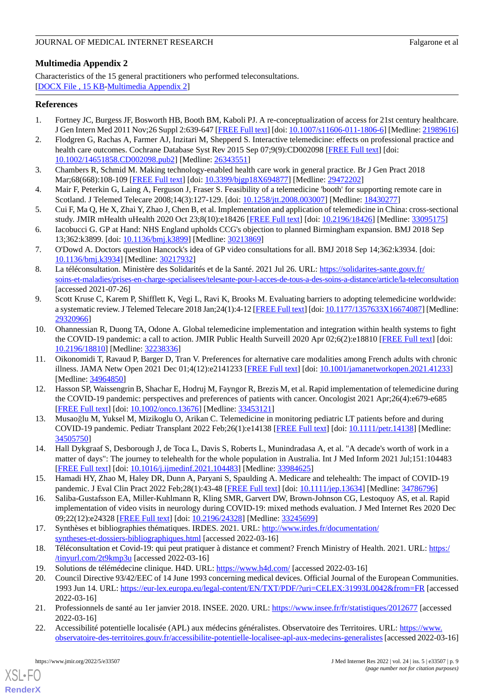# <span id="page-8-18"></span>**Multimedia Appendix 2**

Characteristics of the 15 general practitioners who performed teleconsultations. [[DOCX File , 15 KB](https://jmir.org/api/download?alt_name=jmir_v24i5e33507_app2.docx&filename=deb23ee869b136b9f2df6d4a290686ea.docx)-[Multimedia Appendix 2\]](https://jmir.org/api/download?alt_name=jmir_v24i5e33507_app2.docx&filename=deb23ee869b136b9f2df6d4a290686ea.docx)

#### <span id="page-8-0"></span>**References**

- <span id="page-8-1"></span>1. Fortney JC, Burgess JF, Bosworth HB, Booth BM, Kaboli PJ. A re-conceptualization of access for 21st century healthcare. J Gen Intern Med 2011 Nov;26 Suppl 2:639-647 [[FREE Full text](http://europepmc.org/abstract/MED/21989616)] [doi: [10.1007/s11606-011-1806-6\]](http://dx.doi.org/10.1007/s11606-011-1806-6) [Medline: [21989616](http://www.ncbi.nlm.nih.gov/entrez/query.fcgi?cmd=Retrieve&db=PubMed&list_uids=21989616&dopt=Abstract)]
- <span id="page-8-2"></span>2. Flodgren G, Rachas A, Farmer AJ, Inzitari M, Shepperd S. Interactive telemedicine: effects on professional practice and health care outcomes. Cochrane Database Syst Rev 2015 Sep 07;9(9):CD002098 [[FREE Full text](http://europepmc.org/abstract/MED/26343551)] [doi: [10.1002/14651858.CD002098.pub2\]](http://dx.doi.org/10.1002/14651858.CD002098.pub2) [Medline: [26343551](http://www.ncbi.nlm.nih.gov/entrez/query.fcgi?cmd=Retrieve&db=PubMed&list_uids=26343551&dopt=Abstract)]
- 3. Chambers R, Schmid M. Making technology-enabled health care work in general practice. Br J Gen Pract 2018 Mar;68(668):108-109 [[FREE Full text\]](https://bjgp.org/cgi/pmidlookup?view=long&pmid=29472202) [doi: [10.3399/bjgp18X694877\]](http://dx.doi.org/10.3399/bjgp18X694877) [Medline: [29472202](http://www.ncbi.nlm.nih.gov/entrez/query.fcgi?cmd=Retrieve&db=PubMed&list_uids=29472202&dopt=Abstract)]
- <span id="page-8-3"></span>4. Mair F, Peterkin G, Laing A, Ferguson J, Fraser S. Feasibility of a telemedicine 'booth' for supporting remote care in Scotland. J Telemed Telecare 2008;14(3):127-129. [doi: [10.1258/jtt.2008.003007\]](http://dx.doi.org/10.1258/jtt.2008.003007) [Medline: [18430277](http://www.ncbi.nlm.nih.gov/entrez/query.fcgi?cmd=Retrieve&db=PubMed&list_uids=18430277&dopt=Abstract)]
- <span id="page-8-4"></span>5. Cui F, Ma Q, He X, Zhai Y, Zhao J, Chen B, et al. Implementation and application of telemedicine in China: cross-sectional study. JMIR mHealth uHealth 2020 Oct 23;8(10):e18426 [[FREE Full text](https://mhealth.jmir.org/2020/10/e18426/)] [doi: [10.2196/18426\]](http://dx.doi.org/10.2196/18426) [Medline: [33095175](http://www.ncbi.nlm.nih.gov/entrez/query.fcgi?cmd=Retrieve&db=PubMed&list_uids=33095175&dopt=Abstract)]
- <span id="page-8-5"></span>6. Iacobucci G. GP at Hand: NHS England upholds CCG's objection to planned Birmingham expansion. BMJ 2018 Sep 13;362:k3899. [doi: [10.1136/bmj.k3899\]](http://dx.doi.org/10.1136/bmj.k3899) [Medline: [30213869\]](http://www.ncbi.nlm.nih.gov/entrez/query.fcgi?cmd=Retrieve&db=PubMed&list_uids=30213869&dopt=Abstract)
- <span id="page-8-6"></span>7. O'Dowd A. Doctors question Hancock's idea of GP video consultations for all. BMJ 2018 Sep 14;362:k3934. [doi: [10.1136/bmj.k3934\]](http://dx.doi.org/10.1136/bmj.k3934) [Medline: [30217932\]](http://www.ncbi.nlm.nih.gov/entrez/query.fcgi?cmd=Retrieve&db=PubMed&list_uids=30217932&dopt=Abstract)
- <span id="page-8-7"></span>8. La téléconsultation. Ministère des Solidarités et de la Santé. 2021 Jul 26. URL: [https://solidarites-sante.gouv.fr/](https://solidarites-sante.gouv.fr/soins-et-maladies/prises-en-charge-specialisees/telesante-pour-l-acces-de-tous-a-des-soins-a-distance/article/la-teleconsultation) [soins-et-maladies/prises-en-charge-specialisees/telesante-pour-l-acces-de-tous-a-des-soins-a-distance/article/la-teleconsultation](https://solidarites-sante.gouv.fr/soins-et-maladies/prises-en-charge-specialisees/telesante-pour-l-acces-de-tous-a-des-soins-a-distance/article/la-teleconsultation) [accessed 2021-07-26]
- <span id="page-8-8"></span>9. Scott Kruse C, Karem P, Shifflett K, Vegi L, Ravi K, Brooks M. Evaluating barriers to adopting telemedicine worldwide: a systematic review. J Telemed Telecare 2018 Jan;24(1):4-12 [\[FREE Full text\]](https://journals.sagepub.com/doi/10.1177/1357633X16674087?url_ver=Z39.88-2003&rfr_id=ori:rid:crossref.org&rfr_dat=cr_pub%3dpubmed) [doi: [10.1177/1357633X16674087\]](http://dx.doi.org/10.1177/1357633X16674087) [Medline: [29320966](http://www.ncbi.nlm.nih.gov/entrez/query.fcgi?cmd=Retrieve&db=PubMed&list_uids=29320966&dopt=Abstract)]
- <span id="page-8-19"></span>10. Ohannessian R, Duong TA, Odone A. Global telemedicine implementation and integration within health systems to fight the COVID-19 pandemic: a call to action. JMIR Public Health Surveill 2020 Apr 02;6(2):e18810 [\[FREE Full text\]](https://publichealth.jmir.org/2020/2/e18810/) [doi: [10.2196/18810\]](http://dx.doi.org/10.2196/18810) [Medline: [32238336\]](http://www.ncbi.nlm.nih.gov/entrez/query.fcgi?cmd=Retrieve&db=PubMed&list_uids=32238336&dopt=Abstract)
- 11. Oikonomidi T, Ravaud P, Barger D, Tran V. Preferences for alternative care modalities among French adults with chronic illness. JAMA Netw Open 2021 Dec 01;4(12):e2141233 [\[FREE Full text](https://jamanetwork.com/journals/jamanetworkopen/fullarticle/10.1001/jamanetworkopen.2021.41233)] [doi: [10.1001/jamanetworkopen.2021.41233](http://dx.doi.org/10.1001/jamanetworkopen.2021.41233)] [Medline: [34964850](http://www.ncbi.nlm.nih.gov/entrez/query.fcgi?cmd=Retrieve&db=PubMed&list_uids=34964850&dopt=Abstract)]
- <span id="page-8-9"></span>12. Hasson SP, Waissengrin B, Shachar E, Hodruj M, Fayngor R, Brezis M, et al. Rapid implementation of telemedicine during the COVID-19 pandemic: perspectives and preferences of patients with cancer. Oncologist 2021 Apr;26(4):e679-e685 [[FREE Full text](https://academic.oup.com/oncolo/article-lookup/doi/10.1002/onco.13676)] [doi: [10.1002/onco.13676\]](http://dx.doi.org/10.1002/onco.13676) [Medline: [33453121\]](http://www.ncbi.nlm.nih.gov/entrez/query.fcgi?cmd=Retrieve&db=PubMed&list_uids=33453121&dopt=Abstract)
- <span id="page-8-10"></span>13. Musaoğlu M, Yuksel M, Mizikoglu O, Arikan C. Telemedicine in monitoring pediatric LT patients before and during COVID-19 pandemic. Pediatr Transplant 2022 Feb;26(1):e14138 [\[FREE Full text\]](http://europepmc.org/abstract/MED/34505750) [doi: [10.1111/petr.14138](http://dx.doi.org/10.1111/petr.14138)] [Medline: [34505750](http://www.ncbi.nlm.nih.gov/entrez/query.fcgi?cmd=Retrieve&db=PubMed&list_uids=34505750&dopt=Abstract)]
- <span id="page-8-11"></span>14. Hall Dykgraaf S, Desborough J, de Toca L, Davis S, Roberts L, Munindradasa A, et al. "A decade's worth of work in a matter of days": The journey to telehealth for the whole population in Australia. Int J Med Inform 2021 Jul;151:104483 [[FREE Full text](http://europepmc.org/abstract/MED/33984625)] [doi: [10.1016/j.ijmedinf.2021.104483\]](http://dx.doi.org/10.1016/j.ijmedinf.2021.104483) [Medline: [33984625\]](http://www.ncbi.nlm.nih.gov/entrez/query.fcgi?cmd=Retrieve&db=PubMed&list_uids=33984625&dopt=Abstract)
- <span id="page-8-12"></span>15. Hamadi HY, Zhao M, Haley DR, Dunn A, Paryani S, Spaulding A. Medicare and telehealth: The impact of COVID-19 pandemic. J Eval Clin Pract 2022 Feb;28(1):43-48 [\[FREE Full text](http://europepmc.org/abstract/MED/34786796)] [doi: [10.1111/jep.13634\]](http://dx.doi.org/10.1111/jep.13634) [Medline: [34786796](http://www.ncbi.nlm.nih.gov/entrez/query.fcgi?cmd=Retrieve&db=PubMed&list_uids=34786796&dopt=Abstract)]
- <span id="page-8-14"></span><span id="page-8-13"></span>16. Saliba-Gustafsson EA, Miller-Kuhlmann R, Kling SMR, Garvert DW, Brown-Johnson CG, Lestoquoy AS, et al. Rapid implementation of video visits in neurology during COVID-19: mixed methods evaluation. J Med Internet Res 2020 Dec 09;22(12):e24328 [\[FREE Full text](https://www.jmir.org/2020/12/e24328/)] [doi: [10.2196/24328\]](http://dx.doi.org/10.2196/24328) [Medline: [33245699\]](http://www.ncbi.nlm.nih.gov/entrez/query.fcgi?cmd=Retrieve&db=PubMed&list_uids=33245699&dopt=Abstract)
- <span id="page-8-15"></span>17. Synthèses et bibliographies thématiques. IRDES. 2021. URL: [http://www.irdes.fr/documentation/](http://www.irdes.fr/documentation/syntheses-et-dossiers-bibliographiques.html) [syntheses-et-dossiers-bibliographiques.html](http://www.irdes.fr/documentation/syntheses-et-dossiers-bibliographiques.html) [accessed 2022-03-16]
- <span id="page-8-16"></span>18. Téléconsultation et Covid-19: qui peut pratiquer à distance et comment? French Ministry of Health. 2021. URL: [https:/](https://tinyurl.com/2t9kmp3u) [/tinyurl.com/2t9kmp3u](https://tinyurl.com/2t9kmp3u) [accessed 2022-03-16]
- <span id="page-8-17"></span>19. Solutions de télémédecine clinique. H4D. URL: <https://www.h4d.com/> [accessed 2022-03-16]
- 20. Council Directive 93/42/EEC of 14 June 1993 concerning medical devices. Official Journal of the European Communities. 1993 Jun 14. URL:<https://eur-lex.europa.eu/legal-content/EN/TXT/PDF/?uri=CELEX:31993L0042&from=FR> [accessed 2022-03-16]
- 21. Professionnels de santé au 1er janvier 2018. INSEE. 2020. URL:<https://www.insee.fr/fr/statistiques/2012677> [accessed 2022-03-16]
- 22. Accessibilité potentielle localisée (APL) aux médecins généralistes. Observatoire des Territoires. URL: [https://www.](https://www.observatoire-des-territoires.gouv.fr/accessibilite-potentielle-localisee-apl-aux-medecins-generalistes) [observatoire-des-territoires.gouv.fr/accessibilite-potentielle-localisee-apl-aux-medecins-generalistes](https://www.observatoire-des-territoires.gouv.fr/accessibilite-potentielle-localisee-apl-aux-medecins-generalistes)[accessed 2022-03-16]

[XSL](http://www.w3.org/Style/XSL)•FO **[RenderX](http://www.renderx.com/)**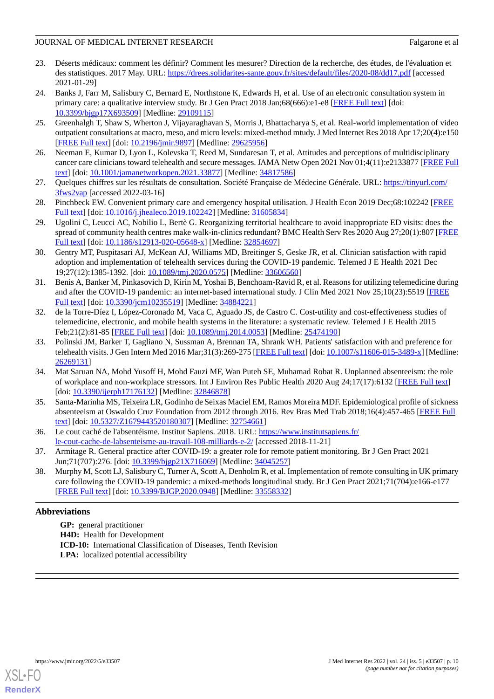- <span id="page-9-0"></span>23. Déserts médicaux: comment les définir? Comment les mesurer? Direction de la recherche, des études, de l'évaluation et des statistiques. 2017 May. URL:<https://drees.solidarites-sante.gouv.fr/sites/default/files/2020-08/dd17.pdf> [accessed 2021-01-29]
- <span id="page-9-1"></span>24. Banks J, Farr M, Salisbury C, Bernard E, Northstone K, Edwards H, et al. Use of an electronic consultation system in primary care: a qualitative interview study. Br J Gen Pract 2018 Jan;68(666):e1-e8 [\[FREE Full text](https://bjgp.org/cgi/pmidlookup?view=long&pmid=29109115)] [doi: [10.3399/bjgp17X693509\]](http://dx.doi.org/10.3399/bjgp17X693509) [Medline: [29109115\]](http://www.ncbi.nlm.nih.gov/entrez/query.fcgi?cmd=Retrieve&db=PubMed&list_uids=29109115&dopt=Abstract)
- <span id="page-9-2"></span>25. Greenhalgh T, Shaw S, Wherton J, Vijayaraghavan S, Morris J, Bhattacharya S, et al. Real-world implementation of video outpatient consultations at macro, meso, and micro levels: mixed-method mtudy. J Med Internet Res 2018 Apr 17;20(4):e150 [[FREE Full text](https://www.jmir.org/2018/4/e150/)] [doi: [10.2196/jmir.9897](http://dx.doi.org/10.2196/jmir.9897)] [Medline: [29625956](http://www.ncbi.nlm.nih.gov/entrez/query.fcgi?cmd=Retrieve&db=PubMed&list_uids=29625956&dopt=Abstract)]
- <span id="page-9-3"></span>26. Neeman E, Kumar D, Lyon L, Kolevska T, Reed M, Sundaresan T, et al. Attitudes and perceptions of multidisciplinary cancer care clinicians toward telehealth and secure messages. JAMA Netw Open 2021 Nov 01;4(11):e2133877 [\[FREE Full](https://jamanetwork.com/journals/jamanetworkopen/fullarticle/10.1001/jamanetworkopen.2021.33877) [text](https://jamanetwork.com/journals/jamanetworkopen/fullarticle/10.1001/jamanetworkopen.2021.33877)] [doi: [10.1001/jamanetworkopen.2021.33877](http://dx.doi.org/10.1001/jamanetworkopen.2021.33877)] [Medline: [34817586](http://www.ncbi.nlm.nih.gov/entrez/query.fcgi?cmd=Retrieve&db=PubMed&list_uids=34817586&dopt=Abstract)]
- <span id="page-9-4"></span>27. Quelques chiffres sur les résultats de consultation. Société Française de Médecine Générale. URL: [https://tinyurl.com/](https://tinyurl.com/3fws2vap) [3fws2vap](https://tinyurl.com/3fws2vap) [accessed 2022-03-16]
- <span id="page-9-5"></span>28. Pinchbeck EW. Convenient primary care and emergency hospital utilisation. J Health Econ 2019 Dec;68:102242 [\[FREE](https://linkinghub.elsevier.com/retrieve/pii/S0167-6296(18)31134-2) [Full text\]](https://linkinghub.elsevier.com/retrieve/pii/S0167-6296(18)31134-2) [doi: [10.1016/j.jhealeco.2019.102242](http://dx.doi.org/10.1016/j.jhealeco.2019.102242)] [Medline: [31605834\]](http://www.ncbi.nlm.nih.gov/entrez/query.fcgi?cmd=Retrieve&db=PubMed&list_uids=31605834&dopt=Abstract)
- <span id="page-9-6"></span>29. Ugolini C, Leucci AC, Nobilio L, Bertè G. Reorganizing territorial healthcare to avoid inappropriate ED visits: does the spread of community health centres make walk-in-clinics redundant? BMC Health Serv Res 2020 Aug 27;20(1):807 [\[FREE](https://bmchealthservres.biomedcentral.com/articles/10.1186/s12913-020-05648-x) [Full text\]](https://bmchealthservres.biomedcentral.com/articles/10.1186/s12913-020-05648-x) [doi: [10.1186/s12913-020-05648-x](http://dx.doi.org/10.1186/s12913-020-05648-x)] [Medline: [32854697](http://www.ncbi.nlm.nih.gov/entrez/query.fcgi?cmd=Retrieve&db=PubMed&list_uids=32854697&dopt=Abstract)]
- <span id="page-9-7"></span>30. Gentry MT, Puspitasari AJ, McKean AJ, Williams MD, Breitinger S, Geske JR, et al. Clinician satisfaction with rapid adoption and implementation of telehealth services during the COVID-19 pandemic. Telemed J E Health 2021 Dec 19;27(12):1385-1392. [doi: [10.1089/tmj.2020.0575](http://dx.doi.org/10.1089/tmj.2020.0575)] [Medline: [33606560\]](http://www.ncbi.nlm.nih.gov/entrez/query.fcgi?cmd=Retrieve&db=PubMed&list_uids=33606560&dopt=Abstract)
- <span id="page-9-8"></span>31. Benis A, Banker M, Pinkasovich D, Kirin M, Yoshai B, Benchoam-Ravid R, et al. Reasons for utilizing telemedicine during and after the COVID-19 pandemic: an internet-based international study. J Clin Med 2021 Nov 25;10(23):5519 [\[FREE](https://www.mdpi.com/resolver?pii=jcm10235519) [Full text\]](https://www.mdpi.com/resolver?pii=jcm10235519) [doi: [10.3390/jcm10235519\]](http://dx.doi.org/10.3390/jcm10235519) [Medline: [34884221](http://www.ncbi.nlm.nih.gov/entrez/query.fcgi?cmd=Retrieve&db=PubMed&list_uids=34884221&dopt=Abstract)]
- <span id="page-9-9"></span>32. de la Torre-Díez I, López-Coronado M, Vaca C, Aguado JS, de Castro C. Cost-utility and cost-effectiveness studies of telemedicine, electronic, and mobile health systems in the literature: a systematic review. Telemed J E Health 2015 Feb;21(2):81-85 [[FREE Full text](http://europepmc.org/abstract/MED/25474190)] [doi: [10.1089/tmj.2014.0053](http://dx.doi.org/10.1089/tmj.2014.0053)] [Medline: [25474190\]](http://www.ncbi.nlm.nih.gov/entrez/query.fcgi?cmd=Retrieve&db=PubMed&list_uids=25474190&dopt=Abstract)
- <span id="page-9-10"></span>33. Polinski JM, Barker T, Gagliano N, Sussman A, Brennan TA, Shrank WH. Patients' satisfaction with and preference for telehealth visits. J Gen Intern Med 2016 Mar;31(3):269-275 [\[FREE Full text\]](http://europepmc.org/abstract/MED/26269131) [doi: [10.1007/s11606-015-3489-x](http://dx.doi.org/10.1007/s11606-015-3489-x)] [Medline: [26269131](http://www.ncbi.nlm.nih.gov/entrez/query.fcgi?cmd=Retrieve&db=PubMed&list_uids=26269131&dopt=Abstract)]
- <span id="page-9-11"></span>34. Mat Saruan NA, Mohd Yusoff H, Mohd Fauzi MF, Wan Puteh SE, Muhamad Robat R. Unplanned absenteeism: the role of workplace and non-workplace stressors. Int J Environ Res Public Health 2020 Aug 24;17(17):6132 [[FREE Full text\]](https://www.mdpi.com/resolver?pii=ijerph17176132) [doi: [10.3390/ijerph17176132](http://dx.doi.org/10.3390/ijerph17176132)] [Medline: [32846878](http://www.ncbi.nlm.nih.gov/entrez/query.fcgi?cmd=Retrieve&db=PubMed&list_uids=32846878&dopt=Abstract)]
- <span id="page-9-13"></span><span id="page-9-12"></span>35. Santa-Marinha MS, Teixeira LR, Godinho de Seixas Maciel EM, Ramos Moreira MDF. Epidemiological profile of sickness absenteeism at Oswaldo Cruz Foundation from 2012 through 2016. Rev Bras Med Trab 2018;16(4):457-465 [[FREE Full](http://europepmc.org/abstract/MED/32754661) [text](http://europepmc.org/abstract/MED/32754661)] [doi: [10.5327/Z1679443520180307\]](http://dx.doi.org/10.5327/Z1679443520180307) [Medline: [32754661\]](http://www.ncbi.nlm.nih.gov/entrez/query.fcgi?cmd=Retrieve&db=PubMed&list_uids=32754661&dopt=Abstract)
- <span id="page-9-14"></span>36. Le cout caché de l'absentéisme. Institut Sapiens. 2018. URL: [https://www.institutsapiens.fr/](https://www.institutsapiens.fr/le-cout-cache-de-labsenteisme-au-travail-108-milliards-e-2/) [le-cout-cache-de-labsenteisme-au-travail-108-milliards-e-2/](https://www.institutsapiens.fr/le-cout-cache-de-labsenteisme-au-travail-108-milliards-e-2/) [accessed 2018-11-21]
- 37. Armitage R. General practice after COVID-19: a greater role for remote patient monitoring. Br J Gen Pract 2021 Jun;71(707):276. [doi: [10.3399/bjgp21X716069](http://dx.doi.org/10.3399/bjgp21X716069)] [Medline: [34045257](http://www.ncbi.nlm.nih.gov/entrez/query.fcgi?cmd=Retrieve&db=PubMed&list_uids=34045257&dopt=Abstract)]
- 38. Murphy M, Scott LJ, Salisbury C, Turner A, Scott A, Denholm R, et al. Implementation of remote consulting in UK primary care following the COVID-19 pandemic: a mixed-methods longitudinal study. Br J Gen Pract 2021;71(704):e166-e177 [[FREE Full text](https://bjgp.org/cgi/pmidlookup?view=long&pmid=33558332)] [doi: [10.3399/BJGP.2020.0948](http://dx.doi.org/10.3399/BJGP.2020.0948)] [Medline: [33558332\]](http://www.ncbi.nlm.nih.gov/entrez/query.fcgi?cmd=Retrieve&db=PubMed&list_uids=33558332&dopt=Abstract)

# **Abbreviations**

**GP:** general practitioner **H4D:** Health for Development **ICD-10:** International Classification of Diseases, Tenth Revision **LPA:** localized potential accessibility